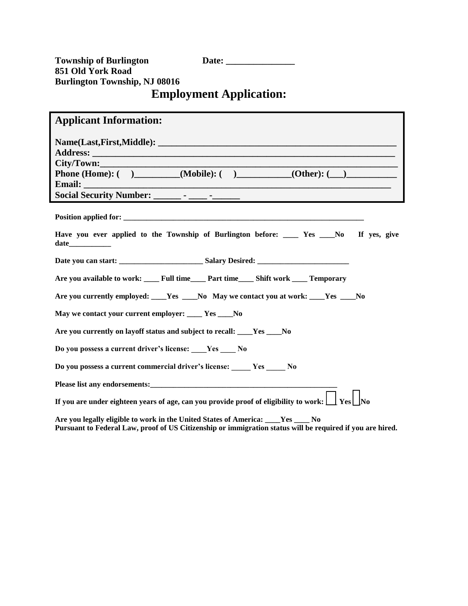**Township of Burlington Date: 851 Old York Road Burlington Township, NJ 08016 Employment Application:** 

## **Applicant Information: Name(Last,First,Middle):**  $\blacksquare$ **Address: \_\_\_\_\_\_\_\_\_\_\_\_\_\_\_\_\_\_\_\_\_\_\_\_\_\_\_\_\_\_\_\_\_\_\_\_\_\_\_\_\_\_\_\_\_\_\_\_\_\_\_\_\_\_\_\_\_\_\_\_\_\_\_\_\_\_**   $City/Down:$ **Phone (Home): (** ) (Mobile): ( ) (Other): ( ) **Email: \_\_\_\_\_\_\_\_\_\_\_\_\_\_\_\_\_\_\_\_\_\_\_\_\_\_\_\_\_\_\_\_\_\_\_\_\_\_\_\_\_\_\_\_\_\_\_\_\_\_\_\_\_\_\_\_\_\_\_\_\_\_\_\_\_\_\_ Social Security Number: \_\_\_\_\_\_ - \_\_\_\_ -\_\_\_\_\_\_ Position applied for:**  $\blacksquare$ Have you ever applied to the Township of Burlington before: \_\_\_\_\_ Yes \_\_\_\_No If yes, give **date\_\_\_\_\_\_\_\_\_\_\_ Date you can start: \_\_\_\_\_\_\_\_\_\_\_\_\_\_\_\_\_\_\_\_\_\_ Salary Desired: \_\_\_\_\_\_\_\_\_\_\_\_\_\_\_\_\_\_\_\_\_\_\_\_ Are you available to work: \_\_\_\_ Full time\_\_\_\_ Part time\_\_\_\_ Shift work \_\_\_\_ Temporary**

**Are you currently employed: \_\_\_\_Yes \_\_\_\_No May we contact you at work: \_\_\_\_Yes \_\_\_\_No** 

**May we contact your current employer: \_\_\_\_ Yes \_\_\_\_No** 

**Are you currently on layoff status and subject to recall: \_\_\_\_Yes \_\_\_\_No** 

**Do you possess a current driver's license: \_\_\_\_Yes \_\_\_\_ No**

**Do you possess a current commercial driver's license: \_\_\_\_\_ Yes \_\_\_\_\_ No**

**Please list any endorsements:\_\_\_\_\_\_\_\_\_\_\_\_\_\_\_\_\_\_\_\_\_\_\_\_\_\_\_\_\_\_\_\_\_\_\_\_\_\_\_\_\_\_\_\_\_\_\_\_\_** 

**If you are under eighteen years of age, can you provide proof of eligibility to work:**  $\Box$  **Yes**  $\Box$  **No** 

**Are you legally eligible to work in the United States of America: \_\_\_\_Yes \_\_\_\_ No Pursuant to Federal Law, proof of US Citizenship or immigration status will be required if you are hired.**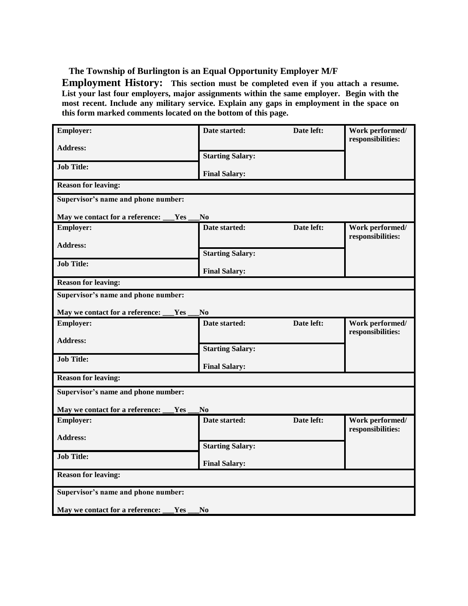**The Township of Burlington is an Equal Opportunity Employer M/F** 

**Employment History: This section must be completed even if you attach a resume. List your last four employers, major assignments within the same employer. Begin with the most recent. Include any military service. Explain any gaps in employment in the space on this form marked comments located on the bottom of this page.** 

| <b>Employer:</b>                                         | Date started:           | Date left: | Work performed/                      |
|----------------------------------------------------------|-------------------------|------------|--------------------------------------|
| <b>Address:</b>                                          |                         |            | responsibilities:                    |
|                                                          | <b>Starting Salary:</b> |            |                                      |
| <b>Job Title:</b>                                        | <b>Final Salary:</b>    |            |                                      |
| <b>Reason for leaving:</b>                               |                         |            |                                      |
| Supervisor's name and phone number:                      |                         |            |                                      |
| May we contact for a reference:<br>Yes                   | N <sub>0</sub>          |            |                                      |
| <b>Employer:</b>                                         | Date started:           | Date left: | Work performed/<br>responsibilities: |
| <b>Address:</b>                                          |                         |            |                                      |
|                                                          | <b>Starting Salary:</b> |            |                                      |
| <b>Job Title:</b>                                        | <b>Final Salary:</b>    |            |                                      |
| <b>Reason for leaving:</b>                               |                         |            |                                      |
| Supervisor's name and phone number:                      |                         |            |                                      |
| May we contact for a reference:<br>Yes                   | N <sub>0</sub>          |            |                                      |
| <b>Employer:</b>                                         | Date started:           | Date left: | Work performed/                      |
|                                                          |                         |            | responsibilities:                    |
| <b>Address:</b>                                          | <b>Starting Salary:</b> |            |                                      |
| <b>Job Title:</b>                                        | <b>Final Salary:</b>    |            |                                      |
| <b>Reason for leaving:</b>                               |                         |            |                                      |
| Supervisor's name and phone number:                      |                         |            |                                      |
| May we contact for a reference:<br>Yes                   | N <sub>0</sub>          |            |                                      |
| <b>Employer:</b>                                         | Date started:           | Date left: | Work performed/                      |
|                                                          |                         |            | responsibilities:                    |
| <b>Address:</b>                                          | <b>Starting Salary:</b> |            |                                      |
| <b>Job Title:</b>                                        |                         |            |                                      |
|                                                          | <b>Final Salary:</b>    |            |                                      |
| <b>Reason for leaving:</b>                               |                         |            |                                      |
| Supervisor's name and phone number:                      |                         |            |                                      |
| May we contact for a reference:<br>Yes<br>N <sub>0</sub> |                         |            |                                      |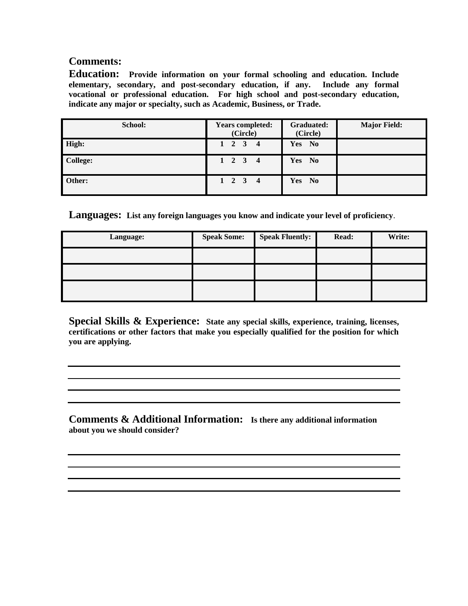## **Comments:**

**Education: Provide information on your formal schooling and education. Include elementary, secondary, and post-secondary education, if any. Include any formal vocational or professional education. For high school and post-secondary education, indicate any major or specialty, such as Academic, Business, or Trade.** 

| School:         | <b>Years completed:</b><br>(Circle)            | <b>Graduated:</b><br>(Circle)        | <b>Major Field:</b> |
|-----------------|------------------------------------------------|--------------------------------------|---------------------|
| High:           | $1 \quad 2 \quad 3$<br>$\overline{\mathbf{4}}$ | Yes No                               |                     |
| <b>College:</b> | $1 \quad 2 \quad 3 \quad 4$                    | <b>Yes</b><br>N <sub>0</sub>         |                     |
| Other:          | $1 \quad 2 \quad 3 \quad 4$                    | <b>Yes</b><br>$\mathbf{N}\mathbf{0}$ |                     |

**Languages: List any foreign languages you know and indicate your level of proficiency**.

| Language: | <b>Speak Some:</b> | <b>Speak Fluently:</b> | Read: | Write: |
|-----------|--------------------|------------------------|-------|--------|
|           |                    |                        |       |        |
|           |                    |                        |       |        |
|           |                    |                        |       |        |

**Special Skills & Experience: State any special skills, experience, training, licenses, certifications or other factors that make you especially qualified for the position for which you are applying.**

**Comments & Additional Information: Is there any additional information about you we should consider?**